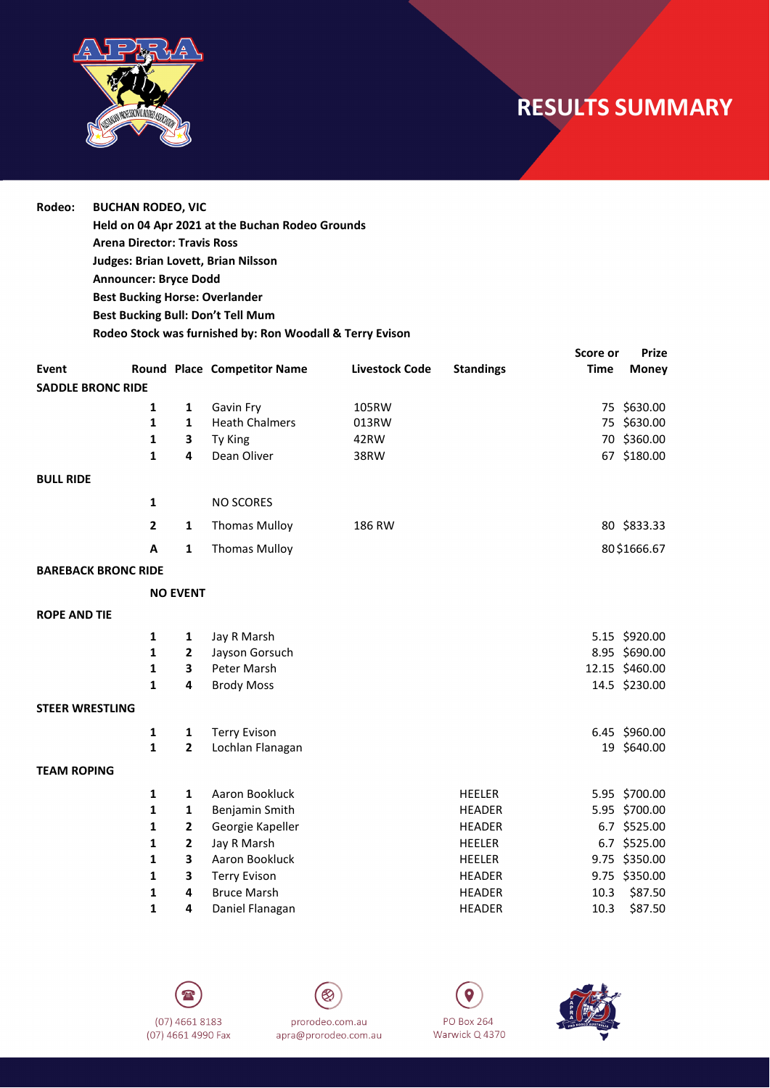

## **RESULTS SUMMARY**

**Rodeo: BUCHAN RODEO, VIC Held on 04 Apr 2021 at the Buchan Rodeo Grounds Arena Director: Travis Ross Judges: Brian Lovett, Brian Nilsson Announcer: Bryce Dodd Best Bucking Horse: Overlander Best Bucking Bull: Don't Tell Mum Rodeo Stock was furnished by: Ron Woodall & Terry Evison**

| <b>Event</b>               |                |                 | Round Place Competitor Name | <b>Livestock Code</b> | <b>Standings</b> | Score or<br><b>Time</b> | <b>Prize</b><br><b>Money</b> |
|----------------------------|----------------|-----------------|-----------------------------|-----------------------|------------------|-------------------------|------------------------------|
| <b>SADDLE BRONC RIDE</b>   |                |                 |                             |                       |                  |                         |                              |
|                            | 1              | 1               | Gavin Fry                   | 105RW                 |                  |                         | 75 \$630.00                  |
|                            | 1              | $\mathbf{1}$    | <b>Heath Chalmers</b>       | 013RW                 |                  |                         | 75 \$630.00                  |
|                            | 1              | 3               | Ty King                     | 42RW                  |                  |                         | 70 \$360.00                  |
|                            | $\mathbf{1}$   | 4               | Dean Oliver                 | 38RW                  |                  |                         | 67 \$180.00                  |
| <b>BULL RIDE</b>           |                |                 |                             |                       |                  |                         |                              |
|                            | $\mathbf{1}$   |                 | <b>NO SCORES</b>            |                       |                  |                         |                              |
|                            | $\overline{2}$ | 1               | <b>Thomas Mulloy</b>        | 186 RW                |                  |                         | 80 \$833.33                  |
|                            | A              | $\mathbf{1}$    | <b>Thomas Mulloy</b>        |                       |                  |                         | 80\$1666.67                  |
| <b>BAREBACK BRONC RIDE</b> |                |                 |                             |                       |                  |                         |                              |
|                            |                | <b>NO EVENT</b> |                             |                       |                  |                         |                              |
| <b>ROPE AND TIE</b>        |                |                 |                             |                       |                  |                         |                              |
|                            | 1              | 1               | Jay R Marsh                 |                       |                  |                         | 5.15 \$920.00                |
|                            | 1              | $\mathbf{2}$    | Jayson Gorsuch              |                       |                  |                         | 8.95 \$690.00                |
|                            | $\mathbf{1}$   | 3               | Peter Marsh                 |                       |                  |                         | 12.15 \$460.00               |
|                            | $\mathbf{1}$   | 4               | <b>Brody Moss</b>           |                       |                  |                         | 14.5 \$230.00                |
| <b>STEER WRESTLING</b>     |                |                 |                             |                       |                  |                         |                              |
|                            | 1              | 1               | <b>Terry Evison</b>         |                       |                  |                         | 6.45 \$960.00                |
|                            | $\mathbf{1}$   | $\overline{2}$  | Lochlan Flanagan            |                       |                  |                         | 19 \$640.00                  |
| <b>TEAM ROPING</b>         |                |                 |                             |                       |                  |                         |                              |
|                            | $\mathbf{1}$   | $\mathbf{1}$    | Aaron Bookluck              |                       | <b>HEELER</b>    |                         | 5.95 \$700.00                |
|                            | $\mathbf{1}$   | 1               | Benjamin Smith              |                       | <b>HEADER</b>    |                         | 5.95 \$700.00                |
|                            | 1              | $\overline{2}$  | Georgie Kapeller            |                       | <b>HEADER</b>    |                         | 6.7 \$525.00                 |
|                            | 1              | $\mathbf{2}$    | Jay R Marsh                 |                       | <b>HEELER</b>    |                         | 6.7 \$525.00                 |
|                            | $\mathbf{1}$   | 3               | Aaron Bookluck              |                       | <b>HEELER</b>    |                         | 9.75 \$350.00                |
|                            | 1              | 3               | <b>Terry Evison</b>         |                       | <b>HEADER</b>    |                         | 9.75 \$350.00                |
|                            | 1              | 4               | <b>Bruce Marsh</b>          |                       | <b>HEADER</b>    | 10.3                    | \$87.50                      |
|                            | 1              | 4               | Daniel Flanagan             |                       | <b>HEADER</b>    | 10.3                    | \$87.50                      |